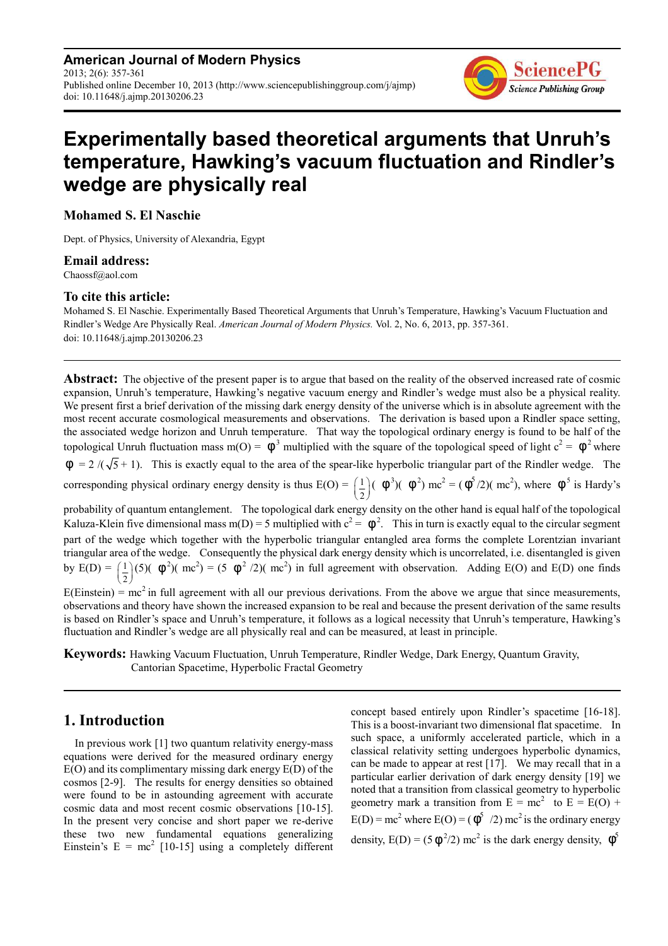**American Journal of Modern Physics** 2013; 2(6): 357-361 Published online December 10, 2013 (http://www.sciencepublishinggroup.com/j/ajmp) doi: 10.11648/j.ajmp.20130206.23



# **Experimentally based theoretical arguments that Unruh's temperature, Hawking's vacuum fluctuation and Rindler's wedge are physically real**

### **Mohamed S. El Naschie**

Dept. of Physics, University of Alexandria, Egypt

#### **Email address:**

Chaossf@aol.com

#### **To cite this article:**

Mohamed S. El Naschie. Experimentally Based Theoretical Arguments that Unruh's Temperature, Hawking's Vacuum Fluctuation and Rindler's Wedge Are Physically Real. *American Journal of Modern Physics.* Vol. 2, No. 6, 2013, pp. 357-361. doi: 10.11648/j.ajmp.20130206.23

**Abstract:** The objective of the present paper is to argue that based on the reality of the observed increased rate of cosmic expansion, Unruh's temperature, Hawking's negative vacuum energy and Rindler's wedge must also be a physical reality. We present first a brief derivation of the missing dark energy density of the universe which is in absolute agreement with the most recent accurate cosmological measurements and observations. The derivation is based upon a Rindler space setting, the associated wedge horizon and Unruh temperature. That way the topological ordinary energy is found to be half of the topological Unruh fluctuation mass m(O) =  $\phi^3$  multiplied with the square of the topological speed of light  $c^2 = \phi^2$  where  $\phi = 2 / (\sqrt{5} + 1)$ . This is exactly equal to the area of the spear-like hyperbolic triangular part of the Rindler wedge. The corresponding physical ordinary energy density is thus  $E(O) = \frac{1}{2}$  $\left(\frac{1}{2}\right)$ ( $\phi^3$ )( $\phi^2$ ) mc<sup>2</sup> = ( $\phi^5$ /2)(mc<sup>2</sup>), where  $\phi^5$  is Hardy's probability of quantum entanglement. The topological dark energy density on the other hand is equal half of the topological

Kaluza-Klein five dimensional mass m(D) = 5 multiplied with  $c^2 = \phi^2$ . This in turn is exactly equal to the circular segment part of the wedge which together with the hyperbolic triangular entangled area forms the complete Lorentzian invariant triangular area of the wedge. Consequently the physical dark energy density which is uncorrelated, i.e. disentangled is given by  $E(D) = \left(\frac{1}{2}\right)$  $\left(\frac{1}{2}\right)(5)$  ( $\phi^2$ )( $mc^2$ ) = (5  $\phi^2$  /2)( $mc^2$ ) in full agreement with observation. Adding E(O) and E(D) one finds

 $E(Einstein) = mc<sup>2</sup>$  in full agreement with all our previous derivations. From the above we argue that since measurements, observations and theory have shown the increased expansion to be real and because the present derivation of the same results is based on Rindler's space and Unruh's temperature, it follows as a logical necessity that Unruh's temperature, Hawking's fluctuation and Rindler's wedge are all physically real and can be measured, at least in principle.

**Keywords:** Hawking Vacuum Fluctuation, Unruh Temperature, Rindler Wedge, Dark Energy, Quantum Gravity, Cantorian Spacetime, Hyperbolic Fractal Geometry

## **1. Introduction**

In previous work [1] two quantum relativity energy-mass equations were derived for the measured ordinary energy E(O) and its complimentary missing dark energy E(D) of the cosmos [2-9]. The results for energy densities so obtained were found to be in astounding agreement with accurate cosmic data and most recent cosmic observations [10-15]. In the present very concise and short paper we re-derive these two new fundamental equations generalizing Einstein's  $E = mc^2$  [10-15] using a completely different concept based entirely upon Rindler's spacetime [16-18]. This is a boost-invariant two dimensional flat spacetime. In such space, a uniformly accelerated particle, which in a classical relativity setting undergoes hyperbolic dynamics, can be made to appear at rest [17]. We may recall that in a particular earlier derivation of dark energy density [19] we noted that a transition from classical geometry to hyperbolic geometry mark a transition from  $E = mc^2$  to  $E = E(O) +$  $E(D) = mc^2$  where  $E(O) = (\phi^5 / 2) mc^2$  is the ordinary energy density,  $E(D) = (5 \phi^2/2) mc^2$  is the dark energy density,  $\phi^5$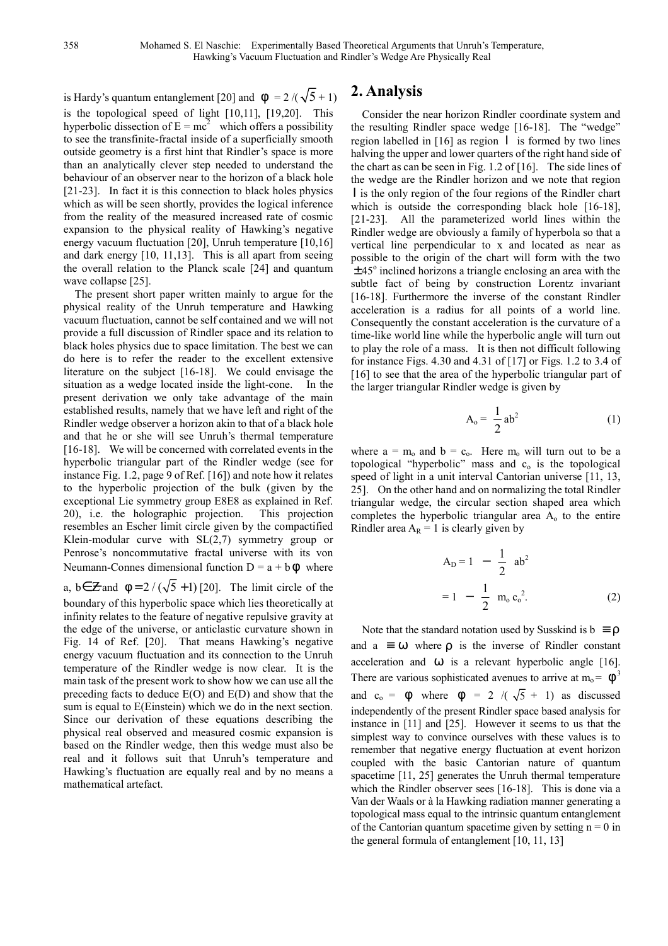is Hardy's quantum entanglement [20] and  $\phi = 2/(\sqrt{5} + 1)$ is the topological speed of light [10,11], [19,20]. This hyperbolic dissection of  $E = mc^2$  which offers a possibility to see the transfinite-fractal inside of a superficially smooth outside geometry is a first hint that Rindler's space is more than an analytically clever step needed to understand the behaviour of an observer near to the horizon of a black hole [21-23]. In fact it is this connection to black holes physics which as will be seen shortly, provides the logical inference from the reality of the measured increased rate of cosmic expansion to the physical reality of Hawking's negative energy vacuum fluctuation [20], Unruh temperature [10,16] and dark energy [10, 11,13]. This is all apart from seeing the overall relation to the Planck scale [24] and quantum wave collapse [25].

The present short paper written mainly to argue for the physical reality of the Unruh temperature and Hawking vacuum fluctuation, cannot be self contained and we will not provide a full discussion of Rindler space and its relation to black holes physics due to space limitation. The best we can do here is to refer the reader to the excellent extensive literature on the subject [16-18]. We could envisage the situation as a wedge located inside the light-cone. In the present derivation we only take advantage of the main established results, namely that we have left and right of the Rindler wedge observer a horizon akin to that of a black hole and that he or she will see Unruh's thermal temperature [16-18]. We will be concerned with correlated events in the hyperbolic triangular part of the Rindler wedge (see for instance Fig. 1.2, page 9 of Ref. [16]) and note how it relates to the hyperbolic projection of the bulk (given by the exceptional Lie symmetry group E8E8 as explained in Ref. 20), i.e. the holographic projection. This projection resembles an Escher limit circle given by the compactified Klein-modular curve with  $SL(2,7)$  symmetry group or Penrose's noncommutative fractal universe with its von Neumann-Connes dimensional function  $D = a + b\phi$  where

a, b∈  $\angle$  and  $\phi = 2 / (\sqrt{5} + 1)$  [20]. The limit circle of the boundary of this hyperbolic space which lies theoretically at infinity relates to the feature of negative repulsive gravity at the edge of the universe, or anticlastic curvature shown in Fig. 14 of Ref. [20]. That means Hawking's negative energy vacuum fluctuation and its connection to the Unruh temperature of the Rindler wedge is now clear. It is the main task of the present work to show how we can use all the preceding facts to deduce E(O) and E(D) and show that the sum is equal to E(Einstein) which we do in the next section. Since our derivation of these equations describing the physical real observed and measured cosmic expansion is based on the Rindler wedge, then this wedge must also be real and it follows suit that Unruh's temperature and Hawking's fluctuation are equally real and by no means a mathematical artefact.

## **2. Analysis**

Consider the near horizon Rindler coordinate system and the resulting Rindler space wedge [16-18]. The "wedge" region labelled in [16] as region Ι is formed by two lines halving the upper and lower quarters of the right hand side of the chart as can be seen in Fig. 1.2 of [16]. The side lines of the wedge are the Rindler horizon and we note that region I is the only region of the four regions of the Rindler chart which is outside the corresponding black hole [16-18], [21-23]. All the parameterized world lines within the Rindler wedge are obviously a family of hyperbola so that a vertical line perpendicular to x and located as near as possible to the origin of the chart will form with the two  $\pm$  45 $\degree$  inclined horizons a triangle enclosing an area with the subtle fact of being by construction Lorentz invariant [16-18]. Furthermore the inverse of the constant Rindler acceleration is a radius for all points of a world line. Consequently the constant acceleration is the curvature of a time-like world line while the hyperbolic angle will turn out to play the role of a mass. It is then not difficult following for instance Figs. 4.30 and 4.31 of [17] or Figs. 1.2 to 3.4 of [16] to see that the area of the hyperbolic triangular part of the larger triangular Rindler wedge is given by

$$
A_o = \frac{1}{2} ab^2
$$
 (1)

where  $a = m_0$  and  $b = c_0$ . Here  $m_0$  will turn out to be a topological "hyperbolic" mass and  $c<sub>o</sub>$  is the topological speed of light in a unit interval Cantorian universe [11, 13, 25]. On the other hand and on normalizing the total Rindler triangular wedge, the circular section shaped area which completes the hyperbolic triangular area  $A<sub>o</sub>$  to the entire Rindler area  $A_R = 1$  is clearly given by

$$
A_{D} = 1 - \frac{1}{2} ab^{2}
$$
  
= 1 -  $\frac{1}{2}$  m<sub>o</sub> c<sub>o</sub><sup>2</sup>. (2)

Note that the standard notation used by Susskind is  $b \equiv \rho$ and  $a \equiv \omega$  where  $\rho$  is the inverse of Rindler constant acceleration and  $\omega$  is a relevant hyperbolic angle [16]. There are various sophisticated avenues to arrive at  $m_0 = \phi^3$ and  $c_0 = \phi$  where  $\phi = 2 / (\sqrt{5} + 1)$  as discussed independently of the present Rindler space based analysis for instance in [11] and [25]. However it seems to us that the simplest way to convince ourselves with these values is to remember that negative energy fluctuation at event horizon coupled with the basic Cantorian nature of quantum spacetime [11, 25] generates the Unruh thermal temperature which the Rindler observer sees [16-18]. This is done via a Van der Waals or à la Hawking radiation manner generating a topological mass equal to the intrinsic quantum entanglement of the Cantorian quantum spacetime given by setting  $n = 0$  in the general formula of entanglement [10, 11, 13]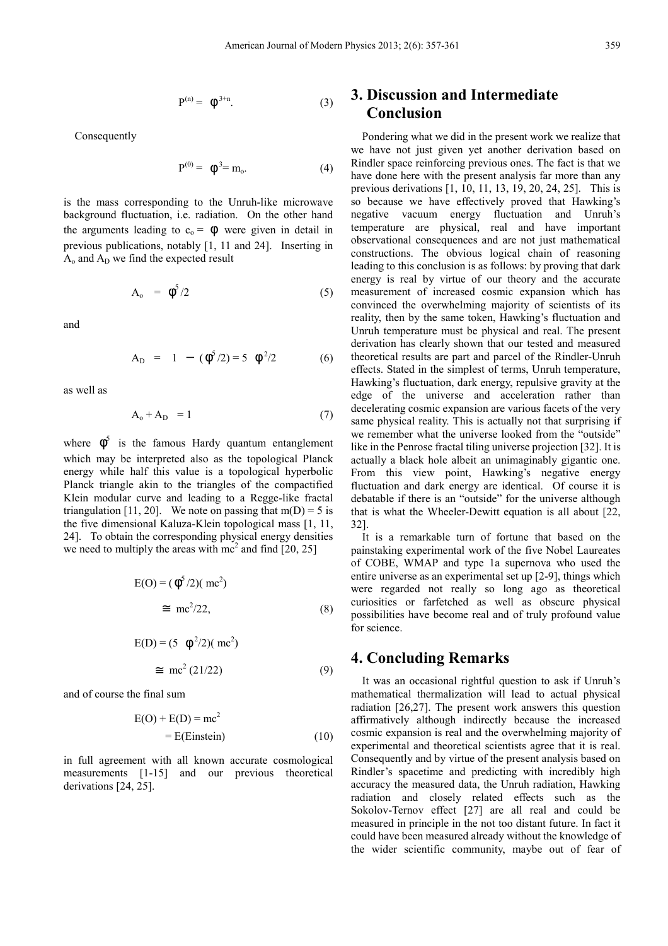$$
P^{(n)} = \phi^{3+n}.
$$
 (3)

Consequently

$$
P^{(0)} = \phi^3 = m_o.
$$
 (4)

is the mass corresponding to the Unruh-like microwave background fluctuation, i.e. radiation. On the other hand the arguments leading to  $c_0 = \phi$  were given in detail in previous publications, notably [1, 11 and 24]. Inserting in  $A_0$  and  $A_D$  we find the expected result

$$
A_o = \phi^5 / 2 \tag{5}
$$

and

$$
A_{D} = 1 - (\phi^{5}/2) = 5 \phi^{2}/2 \qquad (6)
$$

as well as

$$
A_0 + A_D = 1 \tag{7}
$$

where  $\phi^5$  is the famous Hardy quantum entanglement which may be interpreted also as the topological Planck energy while half this value is a topological hyperbolic Planck triangle akin to the triangles of the compactified Klein modular curve and leading to a Regge-like fractal triangulation [11, 20]. We note on passing that  $m(D) = 5$  is the five dimensional Kaluza-Klein topological mass [1, 11, 24]. To obtain the corresponding physical energy densities we need to multiply the areas with  $mc^2$  and find  $[20, 25]$ 

$$
E(O) = (\phi^5 / 2) (mc^2)
$$
  
\n
$$
\approx mc^2 / 22,
$$
 (8)

$$
E(D) = (5 \quad \phi^2/2)(\text{ mc}^2)
$$
  
\n
$$
\equiv \text{ mc}^2 (21/22) \tag{9}
$$

and of course the final sum

$$
E(O) + E(D) = mc2
$$
  
= E(Einstein) (10)

in full agreement with all known accurate cosmological measurements [1-15] and our previous theoretical derivations [24, 25].

# **3. Discussion and Intermediate Conclusion**

Pondering what we did in the present work we realize that we have not just given yet another derivation based on Rindler space reinforcing previous ones. The fact is that we have done here with the present analysis far more than any previous derivations [1, 10, 11, 13, 19, 20, 24, 25]. This is so because we have effectively proved that Hawking's negative vacuum energy fluctuation and Unruh's temperature are physical, real and have important observational consequences and are not just mathematical constructions. The obvious logical chain of reasoning leading to this conclusion is as follows: by proving that dark energy is real by virtue of our theory and the accurate measurement of increased cosmic expansion which has convinced the overwhelming majority of scientists of its reality, then by the same token, Hawking's fluctuation and Unruh temperature must be physical and real. The present derivation has clearly shown that our tested and measured theoretical results are part and parcel of the Rindler-Unruh effects. Stated in the simplest of terms, Unruh temperature, Hawking's fluctuation, dark energy, repulsive gravity at the edge of the universe and acceleration rather than decelerating cosmic expansion are various facets of the very same physical reality. This is actually not that surprising if we remember what the universe looked from the "outside" like in the Penrose fractal tiling universe projection [32]. It is actually a black hole albeit an unimaginably gigantic one. From this view point, Hawking's negative energy fluctuation and dark energy are identical. Of course it is debatable if there is an "outside" for the universe although that is what the Wheeler-Dewitt equation is all about [22, 32].

It is a remarkable turn of fortune that based on the painstaking experimental work of the five Nobel Laureates of COBE, WMAP and type 1a supernova who used the entire universe as an experimental set up [2-9], things which were regarded not really so long ago as theoretical curiosities or farfetched as well as obscure physical possibilities have become real and of truly profound value for science.

### **4. Concluding Remarks**

It was an occasional rightful question to ask if Unruh's mathematical thermalization will lead to actual physical radiation [26,27]. The present work answers this question affirmatively although indirectly because the increased cosmic expansion is real and the overwhelming majority of experimental and theoretical scientists agree that it is real. Consequently and by virtue of the present analysis based on Rindler's spacetime and predicting with incredibly high accuracy the measured data, the Unruh radiation, Hawking radiation and closely related effects such as the Sokolov-Ternov effect [27] are all real and could be measured in principle in the not too distant future. In fact it could have been measured already without the knowledge of the wider scientific community, maybe out of fear of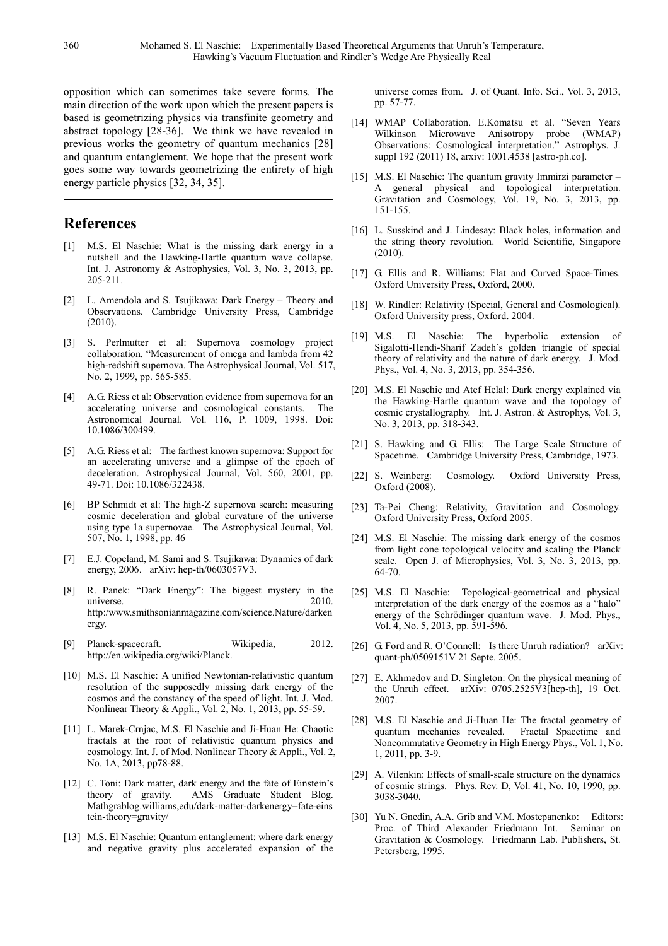opposition which can sometimes take severe forms. The main direction of the work upon which the present papers is based is geometrizing physics via transfinite geometry and abstract topology [28-36]. We think we have revealed in previous works the geometry of quantum mechanics [28] and quantum entanglement. We hope that the present work goes some way towards geometrizing the entirety of high energy particle physics [32, 34, 35].

# **References**

- [1] M.S. El Naschie: What is the missing dark energy in a nutshell and the Hawking-Hartle quantum wave collapse. Int. J. Astronomy & Astrophysics, Vol. 3, No. 3, 2013, pp. 205-211.
- [2] L. Amendola and S. Tsujikawa: Dark Energy Theory and Observations. Cambridge University Press, Cambridge (2010).
- [3] S. Perlmutter et al: Supernova cosmology project collaboration. "Measurement of omega and lambda from 42 high-redshift supernova. The Astrophysical Journal, Vol. 517, No. 2, 1999, pp. 565-585.
- [4] A.G. Riess et al: Observation evidence from supernova for an accelerating universe and cosmological constants. The Astronomical Journal. Vol. 116, P. 1009, 1998. Doi: 10.1086/300499.
- [5] A.G. Riess et al: The farthest known supernova: Support for an accelerating universe and a glimpse of the epoch of deceleration. Astrophysical Journal, Vol. 560, 2001, pp. 49-71. Doi: 10.1086/322438.
- [6] BP Schmidt et al: The high-Z supernova search: measuring cosmic deceleration and global curvature of the universe using type 1a supernovae. The Astrophysical Journal, Vol. 507, No. 1, 1998, pp. 46
- [7] E.J. Copeland, M. Sami and S. Tsujikawa: Dynamics of dark energy, 2006. arXiv: hep-th/0603057V3.
- [8] R. Panek: "Dark Energy": The biggest mystery in the universe. 2010. http:/www.smithsonianmagazine.com/science.Nature/darken ergy.
- [9] Planck-spacecraft. Wikipedia, 2012. http://en.wikipedia.org/wiki/Planck.
- [10] M.S. El Naschie: A unified Newtonian-relativistic quantum resolution of the supposedly missing dark energy of the cosmos and the constancy of the speed of light. Int. J. Mod. Nonlinear Theory & Appli., Vol. 2, No. 1, 2013, pp. 55-59.
- [11] L. Marek-Crnjac, M.S. El Naschie and Ji-Huan He: Chaotic fractals at the root of relativistic quantum physics and cosmology. Int. J. of Mod. Nonlinear Theory & Appli., Vol. 2, No. 1A, 2013, pp78-88.
- [12] C. Toni: Dark matter, dark energy and the fate of Einstein's theory of gravity. AMS Graduate Student Blog. Mathgrablog.williams,edu/dark-matter-darkenergy=fate-eins tein-theory=gravity/
- [13] M.S. El Naschie: Quantum entanglement: where dark energy and negative gravity plus accelerated expansion of the

universe comes from. J. of Quant. Info. Sci., Vol. 3, 2013, pp. 57-77.

- [14] WMAP Collaboration. E.Komatsu et al. "Seven Years Wilkinson Microwave Anisotropy probe (WMAP) Observations: Cosmological interpretation." Astrophys. J. suppl 192 (2011) 18, arxiv: 1001.4538 [astro-ph.co].
- [15] M.S. El Naschie: The quantum gravity Immirzi parameter A general physical and topological interpretation. Gravitation and Cosmology, Vol. 19, No. 3, 2013, pp. 151-155.
- [16] L. Susskind and J. Lindesay: Black holes, information and the string theory revolution. World Scientific, Singapore (2010).
- [17] G. Ellis and R. Williams: Flat and Curved Space-Times. Oxford University Press, Oxford, 2000.
- [18] W. Rindler: Relativity (Special, General and Cosmological). Oxford University press, Oxford. 2004.
- [19] M.S. El Naschie: The hyperbolic extension of Sigalotti-Hendi-Sharif Zadeh's golden triangle of special theory of relativity and the nature of dark energy. J. Mod. Phys., Vol. 4, No. 3, 2013, pp. 354-356.
- [20] M.S. El Naschie and Atef Helal: Dark energy explained via the Hawking-Hartle quantum wave and the topology of cosmic crystallography. Int. J. Astron. & Astrophys, Vol. 3, No. 3, 2013, pp. 318-343.
- [21] S. Hawking and G. Ellis: The Large Scale Structure of Spacetime. Cambridge University Press, Cambridge, 1973.
- [22] S. Weinberg: Cosmology. Oxford University Press, Oxford (2008).
- [23] Ta-Pei Cheng: Relativity, Gravitation and Cosmology. Oxford University Press, Oxford 2005.
- [24] M.S. El Naschie: The missing dark energy of the cosmos from light cone topological velocity and scaling the Planck scale. Open J. of Microphysics, Vol. 3, No. 3, 2013, pp. 64-70.
- [25] M.S. El Naschie: Topological-geometrical and physical interpretation of the dark energy of the cosmos as a "halo" energy of the Schrödinger quantum wave. J. Mod. Phys., Vol. 4, No. 5, 2013, pp. 591-596.
- [26] G. Ford and R. O'Connell: Is there Unruh radiation? arXiv: quant-ph/0509151V 21 Septe. 2005.
- [27] E. Akhmedov and D. Singleton: On the physical meaning of the Unruh effect. arXiv: 0705.2525V3[hep-th], 19 Oct. 2007.
- [28] M.S. El Naschie and Ji-Huan He: The fractal geometry of quantum mechanics revealed. Fractal Spacetime and Noncommutative Geometry in High Energy Phys., Vol. 1, No. 1, 2011, pp. 3-9.
- [29] A. Vilenkin: Effects of small-scale structure on the dynamics of cosmic strings. Phys. Rev. D, Vol. 41, No. 10, 1990, pp. 3038-3040.
- [30] Yu N. Gnedin, A.A. Grib and V.M. Mostepanenko: Editors: Proc. of Third Alexander Friedmann Int. Seminar on Gravitation & Cosmology. Friedmann Lab. Publishers, St. Petersberg, 1995.